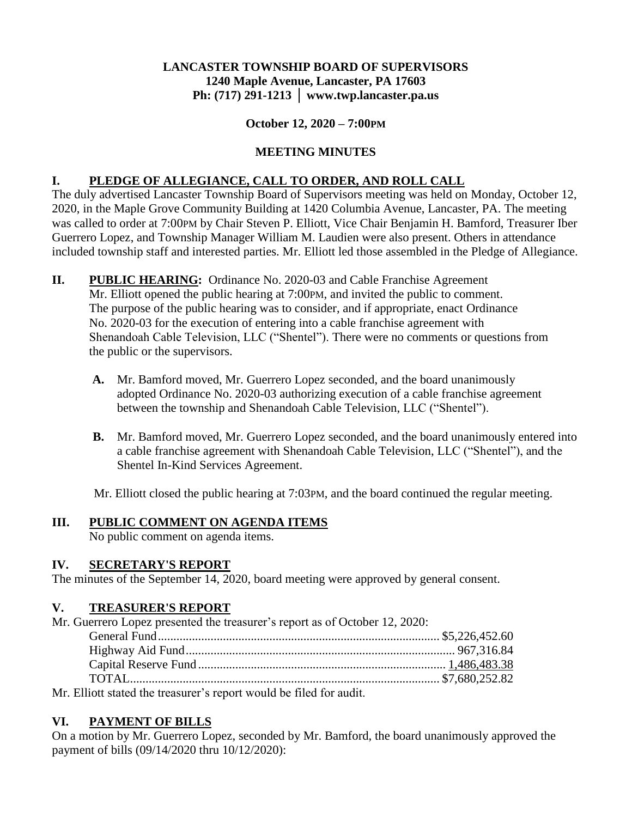### **LANCASTER TOWNSHIP BOARD OF SUPERVISORS 1240 Maple Avenue, Lancaster, PA 17603 Ph: (717) 291-1213 │ www.twp.lancaster.pa.us**

### **October 12, 2020 – 7:00PM**

## **MEETING MINUTES**

## **I. PLEDGE OF ALLEGIANCE, CALL TO ORDER, AND ROLL CALL**

The duly advertised Lancaster Township Board of Supervisors meeting was held on Monday, October 12, 2020, in the Maple Grove Community Building at 1420 Columbia Avenue, Lancaster, PA. The meeting was called to order at 7:00PM by Chair Steven P. Elliott, Vice Chair Benjamin H. Bamford, Treasurer Iber Guerrero Lopez, and Township Manager William M. Laudien were also present. Others in attendance included township staff and interested parties. Mr. Elliott led those assembled in the Pledge of Allegiance.

- **II. PUBLIC HEARING:** Ordinance No. 2020-03 and Cable Franchise Agreement Mr. Elliott opened the public hearing at 7:00PM, and invited the public to comment. The purpose of the public hearing was to consider, and if appropriate, enact Ordinance No. 2020-03 for the execution of entering into a cable franchise agreement with Shenandoah Cable Television, LLC ("Shentel"). There were no comments or questions from the public or the supervisors.
	- **A.** Mr. Bamford moved, Mr. Guerrero Lopez seconded, and the board unanimously adopted Ordinance No. 2020-03 authorizing execution of a cable franchise agreement between the township and Shenandoah Cable Television, LLC ("Shentel").
	- **B.** Mr. Bamford moved, Mr. Guerrero Lopez seconded, and the board unanimously entered into a cable franchise agreement with Shenandoah Cable Television, LLC ("Shentel"), and the Shentel In-Kind Services Agreement.

Mr. Elliott closed the public hearing at 7:03PM, and the board continued the regular meeting.

## **III. PUBLIC COMMENT ON AGENDA ITEMS**

No public comment on agenda items.

## **IV. SECRETARY'S REPORT**

The minutes of the September 14, 2020, board meeting were approved by general consent.

## **V. TREASURER'S REPORT**

| Mr. Guerrero Lopez presented the treasurer's report as of October 12, 2020: |  |
|-----------------------------------------------------------------------------|--|
|                                                                             |  |
|                                                                             |  |
|                                                                             |  |
|                                                                             |  |
| Mr. Elliott stated the treasurer's report would be filed for audit          |  |

Mr. Elliott stated the treasurer's report would be filed for audit.

## **VI. PAYMENT OF BILLS**

On a motion by Mr. Guerrero Lopez, seconded by Mr. Bamford, the board unanimously approved the payment of bills (09/14/2020 thru 10/12/2020):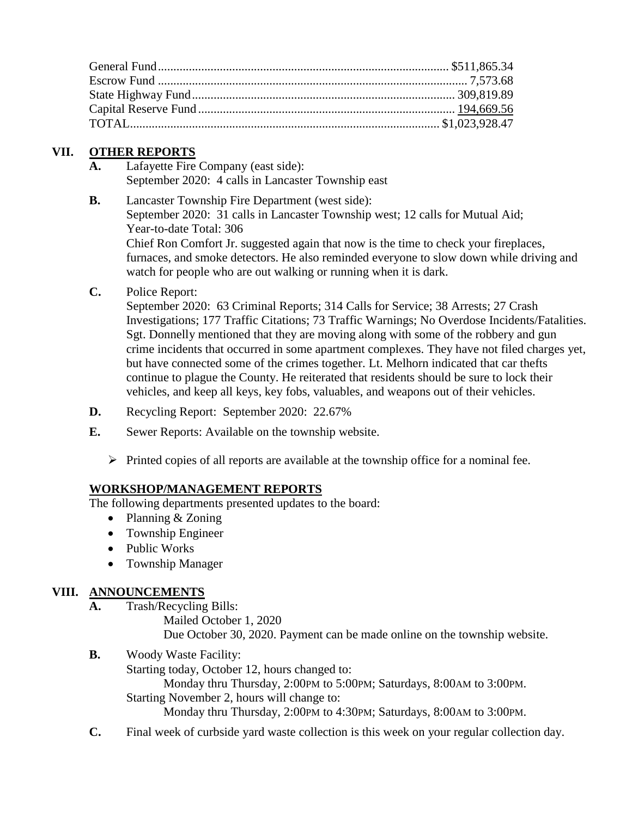## **VII. OTHER REPORTS**

- **A.** Lafayette Fire Company (east side): September 2020: 4 calls in Lancaster Township east
- **B.** Lancaster Township Fire Department (west side):

September 2020: 31 calls in Lancaster Township west; 12 calls for Mutual Aid; Year-to-date Total: 306

Chief Ron Comfort Jr. suggested again that now is the time to check your fireplaces, furnaces, and smoke detectors. He also reminded everyone to slow down while driving and watch for people who are out walking or running when it is dark.

**C.** Police Report:

September 2020: 63 Criminal Reports; 314 Calls for Service; 38 Arrests; 27 Crash Investigations; 177 Traffic Citations; 73 Traffic Warnings; No Overdose Incidents/Fatalities. Sgt. Donnelly mentioned that they are moving along with some of the robbery and gun crime incidents that occurred in some apartment complexes. They have not filed charges yet, but have connected some of the crimes together. Lt. Melhorn indicated that car thefts continue to plague the County. He reiterated that residents should be sure to lock their vehicles, and keep all keys, key fobs, valuables, and weapons out of their vehicles.

- **D.** Recycling Report: September 2020: 22.67%
- **E.** Sewer Reports: Available on the township website.
	- $\triangleright$  Printed copies of all reports are available at the township office for a nominal fee.

## **WORKSHOP/MANAGEMENT REPORTS**

The following departments presented updates to the board:

- Planning & Zoning
- Township Engineer
- Public Works
- Township Manager

## **VIII. ANNOUNCEMENTS**

**A.** Trash/Recycling Bills:

Mailed October 1, 2020 Due October 30, 2020. Payment can be made online on the township website.

**B.** Woody Waste Facility:

Starting today, October 12, hours changed to:

Monday thru Thursday, 2:00PM to 5:00PM; Saturdays, 8:00AM to 3:00PM.

Starting November 2, hours will change to:

Monday thru Thursday, 2:00PM to 4:30PM; Saturdays, 8:00AM to 3:00PM.

**C.** Final week of curbside yard waste collection is this week on your regular collection day.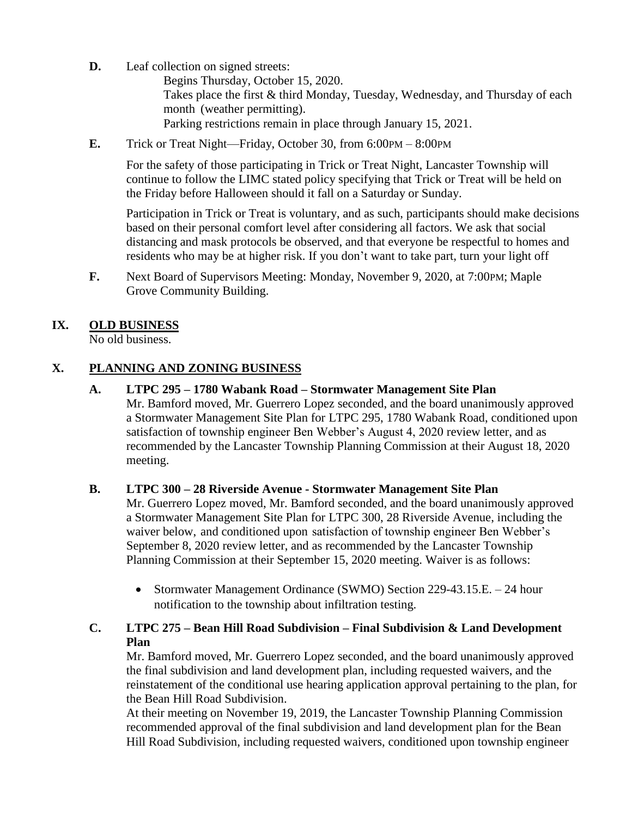**D.** Leaf collection on signed streets:

Begins Thursday, October 15, 2020. Takes place the first & third Monday, Tuesday, Wednesday, and Thursday of each month (weather permitting). Parking restrictions remain in place through January 15, 2021.

**E.** Trick or Treat Night—Friday, October 30, from 6:00PM – 8:00PM

For the safety of those participating in Trick or Treat Night, Lancaster Township will continue to follow the LIMC stated policy specifying that Trick or Treat will be held on the Friday before Halloween should it fall on a Saturday or Sunday.

Participation in Trick or Treat is voluntary, and as such, participants should make decisions based on their personal comfort level after considering all factors. We ask that social distancing and mask protocols be observed, and that everyone be respectful to homes and residents who may be at higher risk. If you don't want to take part, turn your light off

**F.** Next Board of Supervisors Meeting: Monday, November 9, 2020, at 7:00PM; Maple Grove Community Building.

# **IX. OLD BUSINESS**

No old business.

## **X. PLANNING AND ZONING BUSINESS**

### **A. LTPC 295 – 1780 Wabank Road – Stormwater Management Site Plan**

Mr. Bamford moved, Mr. Guerrero Lopez seconded, and the board unanimously approved a Stormwater Management Site Plan for LTPC 295, 1780 Wabank Road, conditioned upon satisfaction of township engineer Ben Webber's August 4, 2020 review letter, and as recommended by the Lancaster Township Planning Commission at their August 18, 2020 meeting.

## **B. LTPC 300 – 28 Riverside Avenue - Stormwater Management Site Plan**

Mr. Guerrero Lopez moved, Mr. Bamford seconded, and the board unanimously approved a Stormwater Management Site Plan for LTPC 300, 28 Riverside Avenue, including the waiver below, and conditioned upon satisfaction of township engineer Ben Webber's September 8, 2020 review letter, and as recommended by the Lancaster Township Planning Commission at their September 15, 2020 meeting. Waiver is as follows:

• Stormwater Management Ordinance (SWMO) Section 229-43.15.E. – 24 hour notification to the township about infiltration testing.

## **C. LTPC 275 – Bean Hill Road Subdivision – Final Subdivision & Land Development Plan**

Mr. Bamford moved, Mr. Guerrero Lopez seconded, and the board unanimously approved the final subdivision and land development plan, including requested waivers, and the reinstatement of the conditional use hearing application approval pertaining to the plan, for the Bean Hill Road Subdivision.

At their meeting on November 19, 2019, the Lancaster Township Planning Commission recommended approval of the final subdivision and land development plan for the Bean Hill Road Subdivision, including requested waivers, conditioned upon township engineer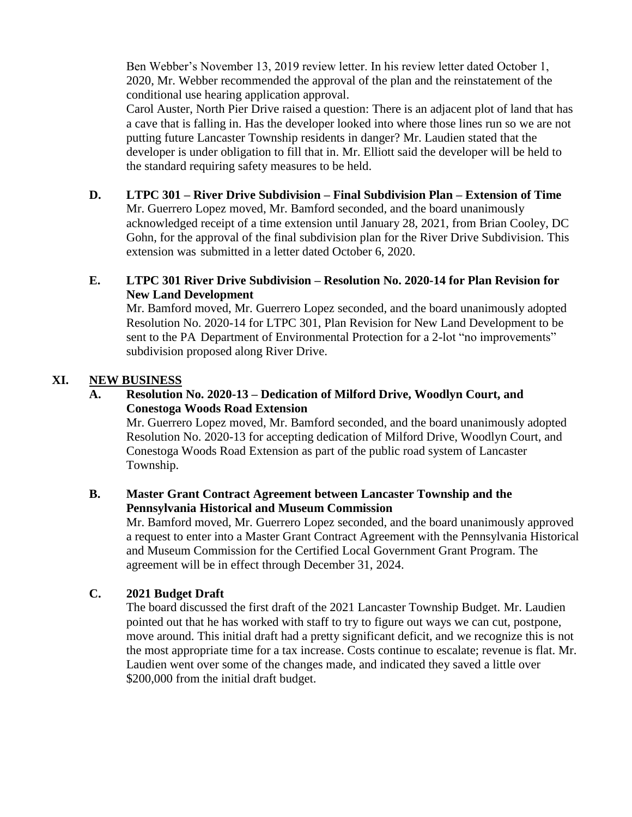Ben Webber's November 13, 2019 review letter. In his review letter dated October 1, 2020, Mr. Webber recommended the approval of the plan and the reinstatement of the conditional use hearing application approval.

Carol Auster, North Pier Drive raised a question: There is an adjacent plot of land that has a cave that is falling in. Has the developer looked into where those lines run so we are not putting future Lancaster Township residents in danger? Mr. Laudien stated that the developer is under obligation to fill that in. Mr. Elliott said the developer will be held to the standard requiring safety measures to be held.

## **D. LTPC 301 – River Drive Subdivision – Final Subdivision Plan – Extension of Time**

Mr. Guerrero Lopez moved, Mr. Bamford seconded, and the board unanimously acknowledged receipt of a time extension until January 28, 2021, from Brian Cooley, DC Gohn, for the approval of the final subdivision plan for the River Drive Subdivision. This extension was submitted in a letter dated October 6, 2020.

### **E. LTPC 301 River Drive Subdivision – Resolution No. 2020-14 for Plan Revision for New Land Development**

Mr. Bamford moved, Mr. Guerrero Lopez seconded, and the board unanimously adopted Resolution No. 2020-14 for LTPC 301, Plan Revision for New Land Development to be sent to the PA Department of Environmental Protection for a 2-lot "no improvements" subdivision proposed along River Drive.

### **XI. NEW BUSINESS**

#### **A. Resolution No. 2020-13 – Dedication of Milford Drive, Woodlyn Court, and Conestoga Woods Road Extension**

Mr. Guerrero Lopez moved, Mr. Bamford seconded, and the board unanimously adopted Resolution No. 2020-13 for accepting dedication of Milford Drive, Woodlyn Court, and Conestoga Woods Road Extension as part of the public road system of Lancaster Township.

### **B. Master Grant Contract Agreement between Lancaster Township and the Pennsylvania Historical and Museum Commission**

Mr. Bamford moved, Mr. Guerrero Lopez seconded, and the board unanimously approved a request to enter into a Master Grant Contract Agreement with the Pennsylvania Historical and Museum Commission for the Certified Local Government Grant Program. The agreement will be in effect through December 31, 2024.

## **C. 2021 Budget Draft**

The board discussed the first draft of the 2021 Lancaster Township Budget. Mr. Laudien pointed out that he has worked with staff to try to figure out ways we can cut, postpone, move around. This initial draft had a pretty significant deficit, and we recognize this is not the most appropriate time for a tax increase. Costs continue to escalate; revenue is flat. Mr. Laudien went over some of the changes made, and indicated they saved a little over \$200,000 from the initial draft budget.